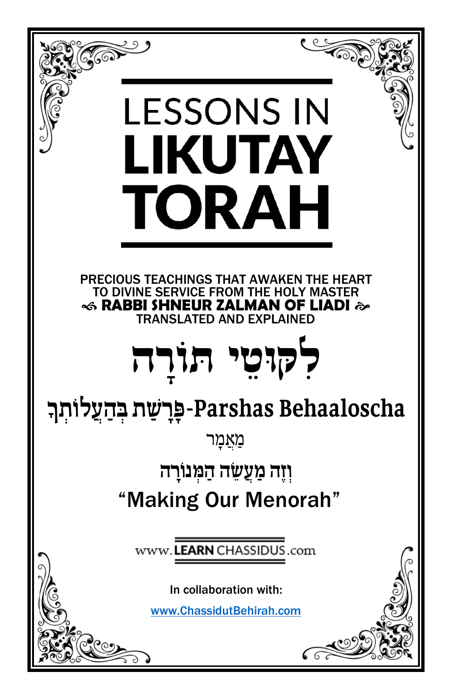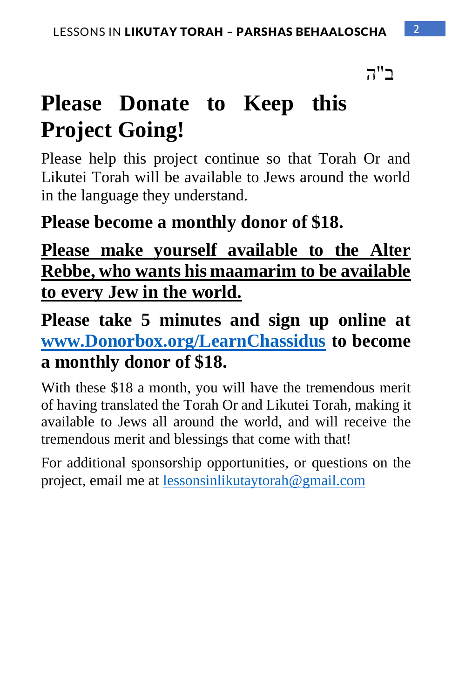ב"ה

# **Please Donate to Keep this Project Going!**

Please help this project continue so that Torah Or and Likutei Torah will be available to Jews around the world in the language they understand.

### **Please become a monthly donor of \$18.**

## **Please make yourself available to the Alter Rebbe, who wants his maamarim to be available to every Jew in the world.**

**Please take 5 minutes and sign up online at [www.Donorbox.org/LearnChassidus](http://www.donorbox.org/LearnChassidus) to become a monthly donor of \$18.** 

With these \$18 a month, you will have the tremendous merit of having translated the Torah Or and Likutei Torah, making it available to Jews all around the world, and will receive the tremendous merit and blessings that come with that!

For additional sponsorship opportunities, or questions on the project, email me at [lessonsinlikutaytorah@gmail.com](mailto:lessonsinlikutaytorah@gmail.com)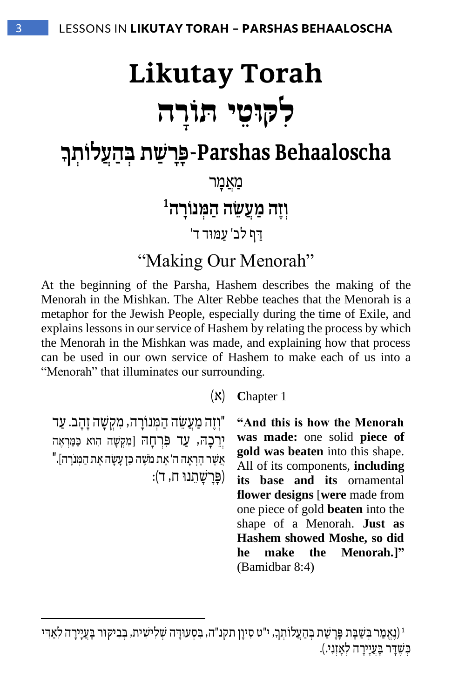# **Likutay Torah ִל ּק י ּתוֹ רָ ה ּו ֵט**

## **Behaaloscha Parshas**-**פ ָּרָּ ש ַׁת ְּ ב הֲעל ֹו ְּת ָּך**

מַאֲמֵר

 $^{\rm 1}$ וְזֶה מַעֲשֶׂה הַמְּנוֹרָה

דף לב' עַמוּד ד'

"Making Our Menorah"

At the beginning of the Parsha, Hashem describes the making of the Menorah in the Mishkan. The Alter Rebbe teaches that the Menorah is a metaphor for the Jewish People, especially during the time of Exile, and explains lessons in our service of Hashem by relating the process by which the Menorah in the Mishkan was made, and explaining how that process can be used in our own service of Hashem to make each of us into a "Menorah" that illuminates our surrounding.

1 **C**hapter( א(

"וְזֶה מַעֲשֶׂה הַמְּנוֹרָה, מִקְשָׁה זַהֲב. עַד יְרֶבָה, עַד פְּרְחָה [מִקְשָׁה הִוא כַּמַּרְאֵה "אֲשֶׁר הֶרְאָה ה' אֶת מֹשֶׁה כֵּן עַשַׂה אֵת הַמִּנֹרה]. )פ ָרָ ש ָ תֵׂ נו ח, ד( :

**"And this is how the Menorah was made:** one solid **piece of gold was beaten** into this shape. All of its components, **including its base and its** ornamental **flower designs** [**were** made from one piece of gold **beaten** into the shape of a Menorah. **Just as Hashem showed Moshe, so did he make the Menorah.]"** (Bamidbar 8:4)

<sup>)ֶ</sup>נֱא ַמר ְ ב ַש ָבת ָפָר ַשת ְ ב ַהֲעל ו ְת סִ יוָ ן תקנ"ה, ִ ב ְסע וָ דה ְש ִלי ִשית, ְ ב ִבי ק ור ָב ֲעָייָרה ִל ַאִ די ָך , י"ט <sup>1</sup> כִשְׁדַּר בַּעֲיִירַה לְאַזְנִי.).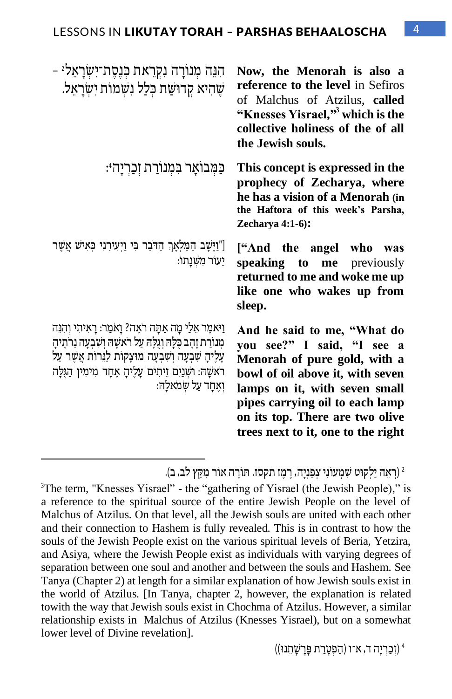| הִנֵּה מִנוֹרָה נִקְרֵאת כִּנַסֶת־יִשְׂרָאֵל -<br>שֶׁהִיא קְדוּשַׁת כִּלַל נִשְׁמוֹת יִשְׂרָאֵל.                                                                                                                                                                          | Now, the Menorah is also a<br>reference to the level in Sefiros<br>of Malchus of Atzilus, called<br>"Knesses Yisrael," which is the<br>collective holiness of the of all<br>the Jewish souls.                                                                              |
|---------------------------------------------------------------------------------------------------------------------------------------------------------------------------------------------------------------------------------------------------------------------------|----------------------------------------------------------------------------------------------------------------------------------------------------------------------------------------------------------------------------------------------------------------------------|
| ּכַּמְּבוֹאָר בִּמְנוֹרַת זִכַרְיָהִיּ:                                                                                                                                                                                                                                   | This concept is expressed in the<br>prophecy of Zecharya, where<br>he has a vision of a Menorah (in<br>the Haftora of this week's Parsha,<br>Zecharya $4:1-6$ :                                                                                                            |
| ["וַיָּשָׁב הַמַּלְאָךְ הַדֹּבֵר בִּי וַיְעִירֵנִי כְּאִישׁ אֲשֶׁר<br>יֵעוֹר מִשְׁנַתוֹ:                                                                                                                                                                                  | ["And the angel who was<br>speaking to me previously<br>returned to me and woke me up<br>like one who wakes up from<br>sleep.                                                                                                                                              |
| וַיֹּאמֵר אֵלַי מַה אַתַּה רֹאֵה? וַאמַר: רַאִיתִי וְהִנֵּה<br>מְנוֹרַת זָהָב כָּלָה וְגָלָה עַל רֹאשָׁה וְשִׁבְעָה נֵרֹתֵיהָ<br>עַלֵיהָ שִׁבְעָה וְשִׁבְעָה מוּצָקוֹת לַנֵּרוֹת אֲשֶׁר עַל<br>ראשָה: וּשִׁנַיִם זֵיתִים עָלֵיהָ אֵחָד מִימִין הַגְּלָה<br>ואחד על שמאלה: | And he said to me, "What do<br>you see?" I said, "I see a<br>Menorah of pure gold, with a<br>bowl of oil above it, with seven<br>lamps on it, with seven small<br>pipes carrying oil to each lamp<br>on its top. There are two olive<br>trees next to it, one to the right |

ן יָאָה יַלְקוּט שִׁמְעוֹנִי צְפַנְיָה, רֵמֵו תקסו. תּוֹרָה אוֹר מִקֵץ לב, ב).  $^2$ 

<sup>3</sup>The term, "Knesses Yisrael" - the "gathering of Yisrael (the Jewish People)," is a reference to the spiritual source of the entire Jewish People on the level of Malchus of Atzilus. On that level, all the Jewish souls are united with each other and their connection to Hashem is fully revealed. This is in contrast to how the souls of the Jewish People exist on the various spiritual levels of Beria, Yetzira, and Asiya, where the Jewish People exist as individuals with varying degrees of separation between one soul and another and between the souls and Hashem. See Tanya (Chapter 2) at length for a similar explanation of how Jewish souls exist in the world of Atzilus. [In Tanya, chapter 2, however, the explanation is related towith the way that Jewish souls exist in Chochma of Atzilus. However, a similar relationship exists in Malchus of Atzilus (Knesses Yisrael), but on a somewhat lower level of Divine revelation].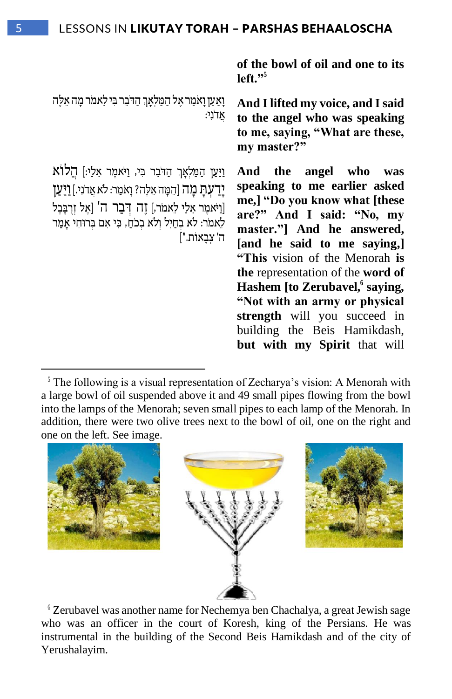**of the bowl of oil and one to its left."<sup>5</sup>**

ָוְאַ עַן וָאמַר אֶל הַמַּלְאָךְ הַדֹּבֵר בִּי לֵאמֹר מָה אֵלֶּה  $\mathbf{M}$ ני:

ַוַיַּעַן הַמַּלְאָךְ הַדֹּבֵר בִּי, וַיֹּאמֶר אֵלַי:] הַלוֹא יָדַעָתַ מַה [הֵמַה אֵלֶה? וַאמַר: לֹא אֲדֹנִי.] וַיַּעַן [וַיֹּאמֵר אֵלַי לֵאמֹר,] זֶה דְּבָר ה' [אֵל זִרְבָּבֶל לֵאמר: לֹא בְחַיִל וְלֹא בְכֹחַ, כִּי אִם בְּרוּחִי אָמַר ה' צבאות."]

**And I lifted my voice, and I said to the angel who was speaking to me, saying, "What are these, my master?"**

**And the angel who was speaking to me earlier asked me,] "Do you know what [these are?" And I said: "No, my master."] And he answered, [and he said to me saying,] "This** vision of the Menorah **is the** representation of the **word of Hashem [to Zerubavel, 6 saying, "Not with an army or physical strength** will you succeed in building the Beis Hamikdash, **but with my Spirit** that will

 $<sup>5</sup>$  The following is a visual representation of Zecharya's vision: A Menorah with</sup> a large bowl of oil suspended above it and 49 small pipes flowing from the bowl into the lamps of the Menorah; seven small pipes to each lamp of the Menorah. In addition, there were two olive trees next to the bowl of oil, one on the right and one on the left. See image.



6 Zerubavel was another name for Nechemya ben Chachalya, a great Jewish sage who was an officer in the court of Koresh, king of the Persians. He was instrumental in the building of the Second Beis Hamikdash and of the city of Yerushalayim.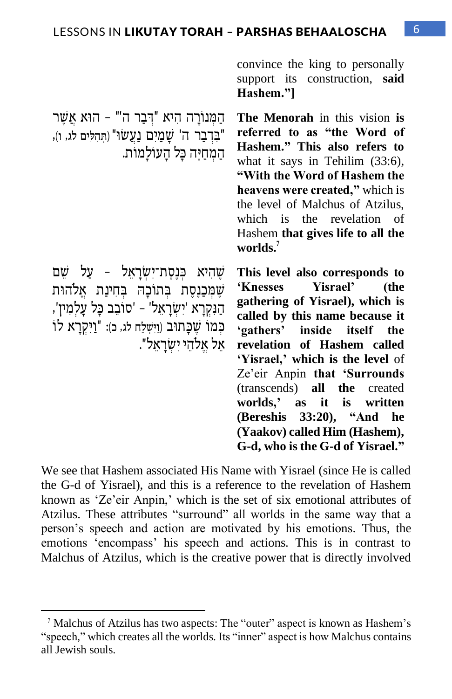convince the king to personally support its construction, **said Hashem."]**

**The Menorah** in this vision **is referred to as "the Word of Hashem." This also refers to** what it says in Tehilim (33:6), **"With the Word of Hashem the heavens were created,"** which is the level of Malchus of Atzilus, which is the revelation of Hashem **that gives life to all the worlds.<sup>7</sup>**

שְׁהִיא כִּנְסֶת־יִשְׂרַאֵל - עַל שֶׁם שְׁמְּכַנֶסֶת בְּתוֹכָהּ בְחִינַת אֱלהוּת הַנִּקְרָא 'יִשְׂרָאֵל' - 'סוֹבֵב כָּל עָלִמִין', כִּמוֹ שֵׁכָּתוּב (וַיִּשְלַח לג, כ): "וַיִּקְרָא לוֹ אֵׂ ל אֱ ל הֵׂ י יִ ש ְ רָ אֵׂ ל".

הַמְנוֹרָה הִיא "דְּבַר ה'" - הוֹא אֲשַׁר "בדבר ה' שמים נעשו" (תהלים לג, ו),

המחיה כֵּל הַעוֹלַמוֹת.

**This level also corresponds to 'Knesses Yisrael' (the gathering of Yisrael), which is called by this name because it 'gathers' inside itself the revelation of Hashem called 'Yisrael,' which is the level** of Ze'eir Anpin **that 'Surrounds**  (transcends) **all the** created **worlds,' as it is written (Bereshis 33:20), "And he (Yaakov) called Him (Hashem), G-d, who is the G-d of Yisrael."**

We see that Hashem associated His Name with Yisrael (since He is called the G-d of Yisrael), and this is a reference to the revelation of Hashem known as 'Ze'eir Anpin,' which is the set of six emotional attributes of Atzilus. These attributes "surround" all worlds in the same way that a person's speech and action are motivated by his emotions. Thus, the emotions 'encompass' his speech and actions. This is in contrast to Malchus of Atzilus, which is the creative power that is directly involved

<sup>7</sup> Malchus of Atzilus has two aspects: The "outer" aspect is known as Hashem's "speech," which creates all the worlds. Its "inner" aspect is how Malchus contains all Jewish souls.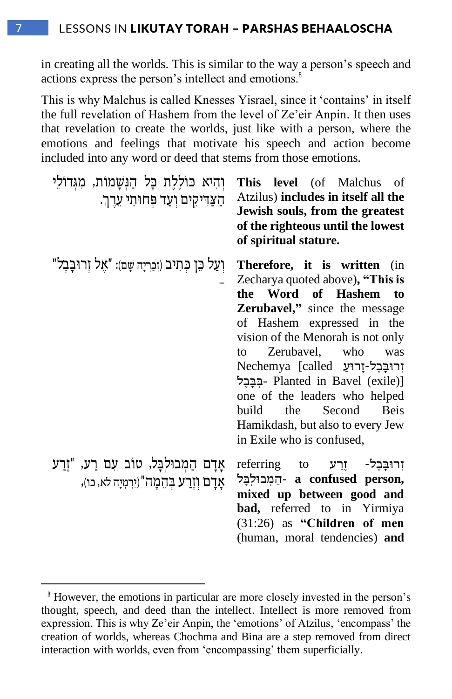in creating all the worlds. This is similar to the way a person's speech and actions express the person's intellect and emotions.<sup>8</sup>

This is why Malchus is called Knesses Yisrael, since it 'contains' in itself the full revelation of Hashem from the level of Ze'eir Anpin. It then uses that revelation to create the worlds, just like with a person, where the emotions and feelings that motivate his speech and action become included into any word or deed that stems from those emotions.

| והיא כוללת כל הנשמות, מגדולי<br>הַצַרִּיקִים וְעַד פִּחוּתֵי עֵרֵךְ.                    | This level (of Malchus of<br>Atzilus) includes in itself all the<br>Jewish souls, from the greatest<br>of the righteous until the lowest<br>of spiritual stature.                                                                                                                                                                                                                                                                                                |
|-----------------------------------------------------------------------------------------|------------------------------------------------------------------------------------------------------------------------------------------------------------------------------------------------------------------------------------------------------------------------------------------------------------------------------------------------------------------------------------------------------------------------------------------------------------------|
| וְעַל כֵּן כְּתִיב (זְכַרְיָה שָׁם): "אֵל זְרוּבָבֵל"                                   | Therefore, it is written (in<br>Zecharya quoted above), "This is<br>the Word of Hashem to<br><b>Zerubavel,</b> " since the message<br>of Hashem expressed in the<br>vision of the Menorah is not only<br>Zerubavel, who<br>to<br>was<br>Nechemya [called יְרוּבָּבֵל-זָרוּעַ<br>- בִּבָּבֵל Planted in Bavel (exile)]<br>one of the leaders who helped<br>the<br>Second<br>build<br><b>Beis</b><br>Hamikdash, but also to every Jew<br>in Exile who is confused, |
| אַדָם הַמְבוּלִבָּל, טוֹב עִם רַע, "זֵרַע<br>אַדם וְזֵרַע בְּהֶמָה"(יִרְמְיָה לֹא, כו), | וְרוּבָּבֵל- זֵרַע referring to<br>- הַמְבוּלְבָּל a confused person,<br>mixed up between good and<br><b>bad,</b> referred to in Yirmiya<br>$(31:26)$ as "Children of men<br>(human, moral tendencies) and                                                                                                                                                                                                                                                       |

<sup>&</sup>lt;sup>8</sup> However, the emotions in particular are more closely invested in the person's thought, speech, and deed than the intellect. Intellect is more removed from expression. This is why Ze'eir Anpin, the 'emotions' of Atzilus, 'encompass' the creation of worlds, whereas Chochma and Bina are a step removed from direct interaction with worlds, even from 'encompassing' them superficially.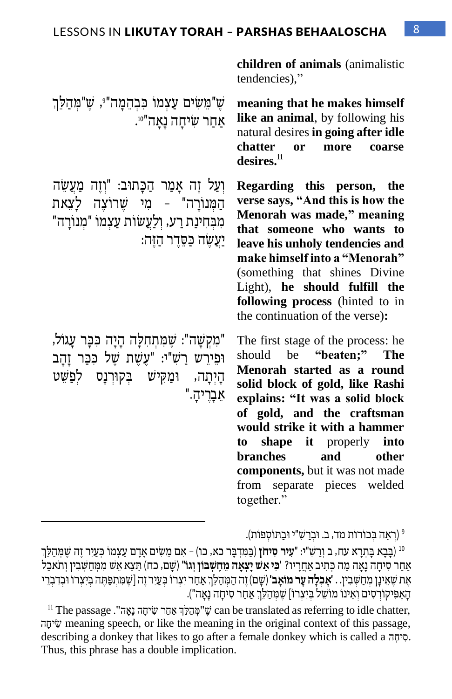ּו שֵׁ"מֵשִׂים עַצְמוֹ כִּבְהֵמָה"<sup>ֶ</sup>, שֵׁ"מְהַלַּךְ אַחַר שִׂיחָה נָאָה"<sup>01</sup>.

וְעַל זֶה אֲמַר הַכַּתוּב: "וְזֶה מַעֲשֶׂה המנורה" – מי שרוצה לצאת "מִנוֹרַה - מְבְחִינַת רַע, וְלַעֲשוֹת עַצְמוֹ יעשה כסדר הזה:

"מקשַה": שמתחלה הַיַה כֹּבֵר עָגוֹל, וּפִירש רַש"י: "עַשַׁת שַׁל כּכֵר זַהָב הַיְתַה, וּמַקִישׁ בְקוּרְנַס לְפַשֵּׁט אֵׂ בָרֶ יהָ ."

**children of animals** (animalistic tendencies),"

**meaning that he makes himself like an animal**, by following his natural desires **in going after idle chatter or more coarse desires.<sup>11</sup>**

**Regarding this person, the verse says, "And this is how the Menorah was made," meaning that someone who wants to leave his unholy tendencies and make himself into a "Menorah"** (something that shines Divine Light), **he should fulfill the following process** (hinted to in the continuation of the verse)**:**

The first stage of the process: he should be **"beaten;" The Menorah started as a round solid block of gold, like Rashi explains: "It was a solid block of gold, and the craftsman would strike it with a hammer to shape it** properly **into branches and other components,** but it was not made from separate pieces welded together."

<sup>9</sup> (רְאֵה בְכוֹרוֹת מד, ב. וּבְרַשִּׁ"י וּבַתּוֹסְפוֹת).

<sup>10</sup> (בָּבָא בָּתִרָא עח, ב וְרַשְׁ"י: "**עִיר סִיחֹן** (בַּמִּדְבֶר כא, כו) – אִם מֵשִׂים אָדָם עַצְמוֹ כִּעַיִר זֵה שֵׁמִּהַלֵּךְ אַחַר סִיחָה נָאָה מַה כִּתִיב אַחֲרָיו? **'כִּי אֵשׁ יָצְאָה מֵחֵשְׁבּוֹן וְגוֹ"** (שָׁם, כח) תֵּצֵא אֵשׁ מִמְּחַשִּׁבִין וְתֹאכַל אֶת שֶׁאֵינַן מִחַשְּׁבִין. . **'אַבְלֵה עַר מוֹאָב'** (שַׁם) זֶה הַמְּהַלֶּךְ אַחַר יִצְרוֹ כְּעֵיר זֶה [שֶׁמַתְפַּתֶּה בִּיִצְרוֹ וּבְדְבְרִי הָאֶפִּיקוֹרְסִים וְאֵינוֹ מוֹשֶׁל בִּיִצְרוֹ] שֶׁמְּהַלֵּךְ אַחֲר סִיחָה נַאֲה").

 $^{11}$  The passage שיחָה נָאָה". שִׂיחָה נָאָה שִׂיחָה נִאֲה $\ddot{\rm g}$  can be translated as referring to idle chatter, ה ָיח ִׂש meaning speech, or like the meaning in the original context of this passage, describing a donkey that likes to go after a female donkey which is called a <sup> $\bar{v}$ </sup>. Thus, this phrase has a double implication.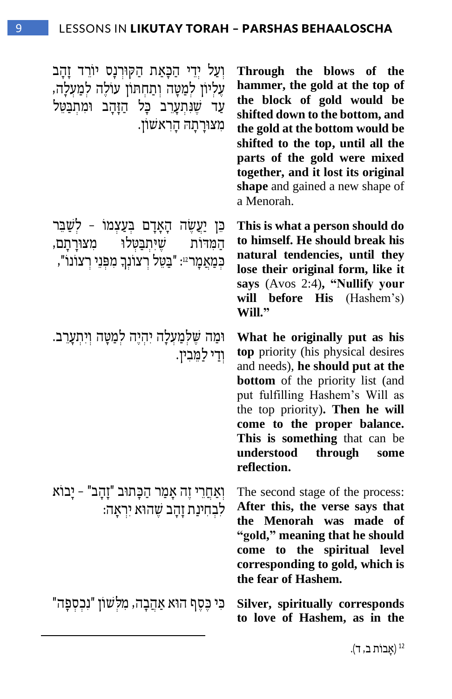וְעַל יְדֵי הַכַּאַת הַקּוּרְנַס יוֹרֵד זַהַב עֲלִיוֹן לְמַטָּה וְתַחְתּוֹן עוֹלֶה לְמַעָלָה, עד שנתערב כל הזהב ומתבטל ִמ צ וָר ָת ה ָהִרא ש ון.

כּו יַעֲשׂה הָאַדָם בַּעֲצַמוֹ - לִשָּׁבּר .<br>שיתבטלו מצורתם המדות ּכְּמַאֲמָרִיּ: "בַּטֵל רְצוֹנְךָ מִפְּנֵי רְצוֹנוֹ",

וּמַה שֶלְמַעָלָה יִהְיֶה לְמַטַּה וִיתְעֲרֵב. וִדי לַמֵּבִין.

וְ אַ חֲ רֵׂ י זֶה אָ מַ ר הַ כ ָ תו ב "זָהָ ב" – יָבו א לִבְחִינַת זָהֲב שֵׁהוֹא יִרְאָה:

" נכספַה silver, spiritually corresponds

**Through the blows of the hammer, the gold at the top of the block of gold would be shifted down to the bottom, and the gold at the bottom would be shifted to the top, until all the parts of the gold were mixed together, and it lost its original shape** and gained a new shape of a Menorah.

**This is what a person should do to himself. He should break his natural tendencies, until they lose their original form, like it says** (Avos 2:4)**, "Nullify your will before His** (Hashem's) **Will."** 

**What he originally put as his top** priority (his physical desires and needs), **he should put at the bottom** of the priority list (and put fulfilling Hashem's Will as the top priority)**. Then he will come to the proper balance. This is something** that can be **understood through some reflection.**

The second stage of the process: **After this, the verse says that the Menorah was made of "gold," meaning that he should come to the spiritual level corresponding to gold, which is the fear of Hashem.**

**to love of Hashem, as in the**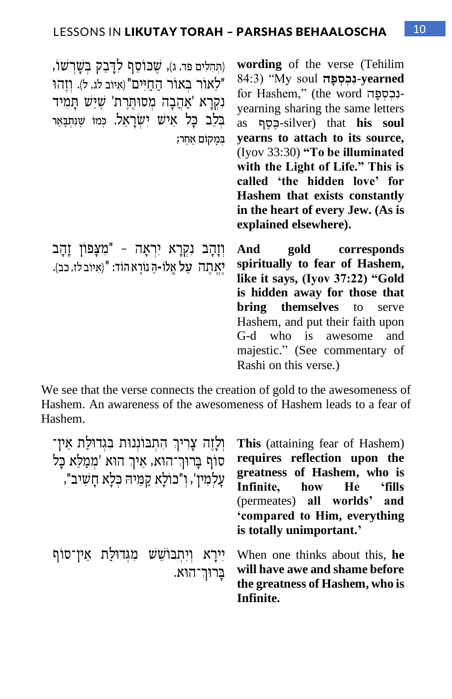(תַּהְלִים פד, ג), שכוסף לדַבק בשַׁרשו, "לאור באור החיים" (איוב לג, ל). וזהו נקרא 'אהבה מסותרת' שיש תמיד בֵּ בְלֶב כַּל אִישׁ יִשְׂרַאֵל. כְּמוֹ שֵׁוָּתְבָּאֵר ְּ בָּמקֹום ַאֵחר;

**wording** of the verse (Tehilim **yearned-נִ כְּ סְּ פָּהַׁ** soul My) "84:3 for Hashem," (the word הנכספה yearning sharing the same letters as ף ֶס ֶ כ-silver) that **his soul yearns to attach to its source,** (Iyov 33:30) **"To be illuminated with the Light of Life." This is called 'the hidden love' for Hashem that exists constantly in the heart of every Jew. (As is explained elsewhere).**

וְזָהָב נִקְרָא יִרְאָה - "מִצָפוֹן זָהָב And יְאַ תָה על אַלוֹ-ה נוֹרא הוֹד: "(איוֹב לז, כב).

**And gold corresponds spiritually to fear of Hashem, like it says, (Iyov 37:22) "Gold is hidden away for those that bring themselves** to serve Hashem, and put their faith upon G-d who is awesome and majestic." (See commentary of Rashi on this verse.)

We see that the verse connects the creation of gold to the awesomeness of Hashem. An awareness of the awesomeness of Hashem leads to a fear of Hashem.

| וְלָזֵה צָרִיךְ הִתְבּוּנְנוּת בְּגִדוּלַת אֵין־<br>סוף בָּרוּךְ־הוּא, אֵיךְ הוּא 'מִמַלֵּא כָּל<br>עַלמִין', וְ"כוֹלָא קַמֵּיה כִּלָא חָשִׁיב", | <b>This</b> (attaining fear of Hashem)<br>requires reflection upon the<br>greatness of Hashem, who is<br>Infinite, how He 'fills<br>(permeates) all worlds' and<br>'compared to Him, everything<br>is totally unimportant.' |
|--------------------------------------------------------------------------------------------------------------------------------------------------|-----------------------------------------------------------------------------------------------------------------------------------------------------------------------------------------------------------------------------|
| יירא ויתבושש מגדולת אין־סוף<br>בַרוּךְ־הוּא.                                                                                                     | When one thinks about this, he<br>will have awe and shame before<br>the greatness of Hashem, who is<br>Infinite.                                                                                                            |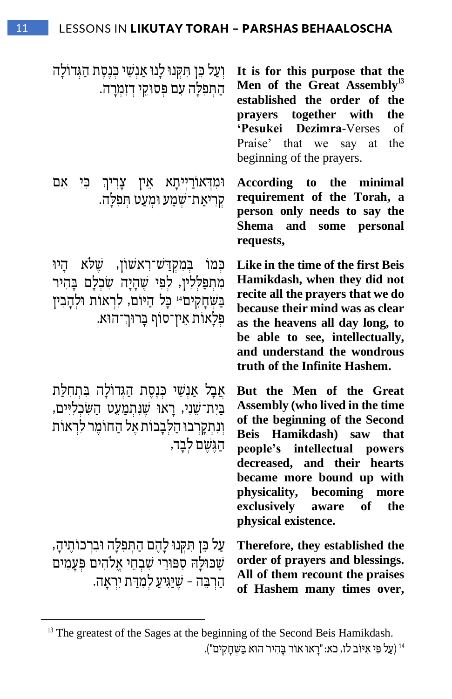וְעַל כֵּן תִּקְנוּ לַנוּ אַנְשֵׁי כְּנֵסֶת הַגְּדוֹלַה הַתְּפְלַה עָם פִּסוּקֵי דִזְמְרַה.

**וֹמִדְאוֹרַיִיתָא אֵין צָרִיךְ כִּי אִם** קְרִיאַת־שָׁמַע וּמְעַט תִּפְלַה.

כמו במקדש־ראשון, שלא הַיוּ מִתְפַלְלִין, לִפְי שֵׁהַיָה שִׂכְלַם בַּהִיר בַּשְׁחָקִים<sup>14</sup> כָּל הַיּוֹם, לִרְאוֹת וּלִהָבִין פּלַאות אין־סוף בַרוּך־הוּא.

אַבַל אַנְשֵׁי כִּנֶסֶת הַגְּדוֹלַה בִּתְחָלַת בַּיִת־שֵׁנִי, רָאוּ שֵׁנְתְמַעֵט הַשִׂכְלִיִּים, וְנִתְקָרְבוּ הַלִּבְבוֹת אֵל הַחוֹמֵר לִרְאוֹת הגשם לבד,

ַּעֲל כֵּן תִּקְנוּ לָהֶם הַתִּפְלָה וּבִרְכוֹתֵיהַ, שְׁכּוּלַה סִפּוּרֵי שָׁבְחֵי אֱלֹהִים פְּעֲמִים הַרְבָּה – שֵׁיַּגִיעַ לְמִדַּת יִרְאַה.

**It is for this purpose that the Men of the Great Assembly<sup>13</sup> established the order of the prayers together with the 'Pesukei Dezimra**-Verses of Praise' that we say at the beginning of the prayers.

**According to the minimal requirement of the Torah, a person only needs to say the Shema and some personal requests,**

**Like in the time of the first Beis Hamikdash, when they did not recite all the prayers that we do because their mind was as clear as the heavens all day long, to be able to see, intellectually, and understand the wondrous truth of the Infinite Hashem.** 

**But the Men of the Great Assembly (who lived in the time of the beginning of the Second Beis Hamikdash) saw that people's intellectual powers decreased, and their hearts became more bound up with physicality, becoming more exclusively aware of the physical existence.**

**Therefore, they established the order of prayers and blessings. All of them recount the praises of Hashem many times over,**

 $<sup>13</sup>$  The greatest of the Sages at the beginning of the Second Beis Hamikdash.</sup>

<sup>&</sup>lt;sup>14</sup> (עַל פִּי אִיּוֹב לז, כא: "רָאוּ אוֹר בָּהִיר הוּא בַּשִּׁחָקִים").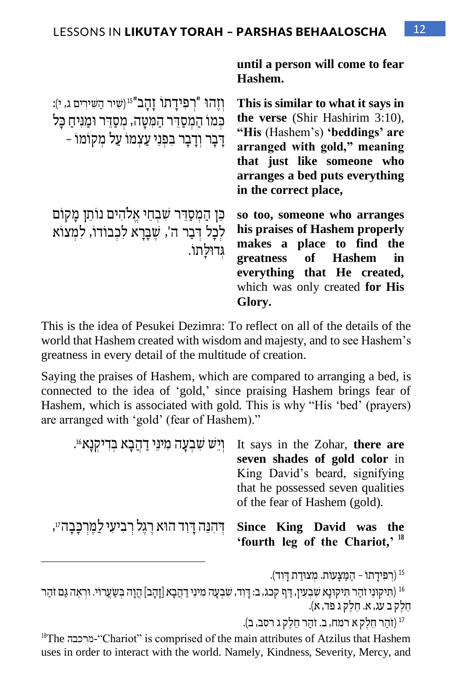**until a person will come to fear** 

**Hashem.** וְזֶהוּ "רְפִידָתו זָהָב"<sup>15</sup> (שִׁיר הַשִּׁירִים ג, י): כמו הַמִסַדְר הַמִּטַה, מִסַדְר וּמַנִּיחַ כַּל ַ דְּבָר וְדַבָר בְּפְנֵי עַצְמוֹ עַל מִקוֹמוֹ **This is similar to what it says in the verse** (Shir Hashirim 3:10), **"His** (Hashem's) **'beddings' are arranged with gold," meaning that just like someone who arranges a bed puts everything in the correct place,** כן המסַדר שבחי אלהים נותן מַקוֹם לְכָל דְּבָר ה', שֶׁבַּרַא לִכְבודו, לִמְצוֹא ג ְ דו ל ָתו . **so too, someone who arranges his praises of Hashem properly makes a place to find the greatness of Hashem in everything that He created,**  which was only created **for His Glory.** 

This is the idea of Pesukei Dezimra: To reflect on all of the details of the world that Hashem created with wisdom and majesty, and to see Hashem's greatness in every detail of the multitude of creation.

Saying the praises of Hashem, which are compared to arranging a bed, is connected to the idea of 'gold,' since praising Hashem brings fear of Hashem, which is associated with gold. This is why "His 'bed' (prayers) are arranged with 'gold' (fear of Hashem)."

| וְיֵשׁ שִׁבְעָה מִינֵי דַהֲבָא בִדִיקְנָא <sup>61</sup> . | It says in the Zohar, there are<br>seven shades of gold color in   |
|-----------------------------------------------------------|--------------------------------------------------------------------|
|                                                           | King David's beard, signifying                                     |
|                                                           | that he possessed seven qualities<br>of the fear of Hashem (gold). |
| ּדְהִנֵּה דְוִד הוּא רֶגֶל רִבְיעִי לַמֵּרְכָּבָה״,       | Since King David was the<br>'fourth leg of the Chariot,' $18$      |

(רפידתו – המצעות. מצודת דוד).

<sup>16</sup> (תִּיקוּנִי זֹהָר תִּיקוּנַא שִׁבְעָין, דַּף קכג, ב: דַּוְד, שָׁבְעַה מִינֵי דַהֲבָא [זָהָב] הֲוָה בְּשַׂעֲרוֹי. וּרְאֵה גַּם זֹהַר חֵׂ לֶק ב עג, א. חֵׂ לֶק ג פד, א(.

<sup>17</sup> (זהַר חֵלֵק א רמח, ב. זהַר חֵלֵק ג רסב, ב).

<sup>18</sup>The מרכבה<sup>-"</sup>Chariot" is comprised of the main attributes of Atzilus that Hashem uses in order to interact with the world. Namely, Kindness, Severity, Mercy, and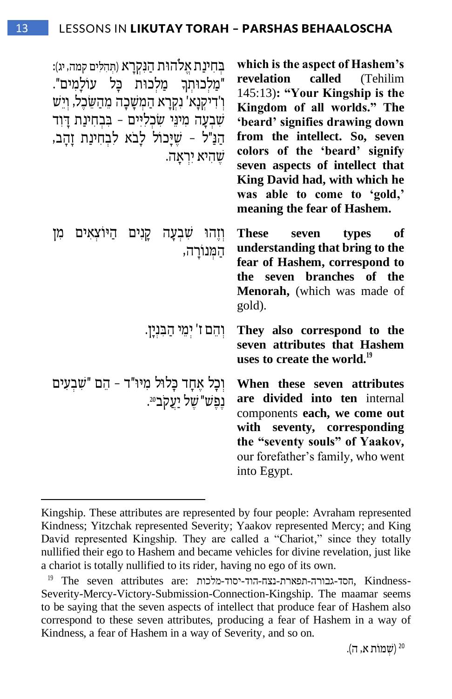| בחינת אֱלהוּת הַנִּקְרַא (תִּהְלִים קמה, יג):<br>"מַלְכוּתְךָ מַלְכוּת כָּל עוֹלַמִים".<br>ו'דיקנָא' נִקְרָא הַמִשָּׁכָה מֵהַשֵּׂכֶל, וְיֵשׁ<br>שִׁבְעָה מִינֵּי שִׂכְלִיִּים - בִּבְחִינַת דַּוְד<br>הַנַּ"ל - שֵׁיָּכוֹל לָבֹא לִבְחִינַת זָהָב,<br>שהיא יראה. | which is the aspect of Hashem's<br>revelation called (Tehilim<br>145:13): "Your Kingship is the<br>Kingdom of all worlds." The<br>'beard' signifies drawing down<br>from the intellect. So, seven<br>colors of the 'beard' signify<br>seven aspects of intellect that<br>King David had, with which he<br>was able to come to 'gold,'<br>meaning the fear of Hashem. |
|------------------------------------------------------------------------------------------------------------------------------------------------------------------------------------------------------------------------------------------------------------------|----------------------------------------------------------------------------------------------------------------------------------------------------------------------------------------------------------------------------------------------------------------------------------------------------------------------------------------------------------------------|
| וְזֶהוּ שִׁבְעָה קָנִים הַיּוֹצְאִים<br>מן<br>הַמְּנוֹרָה,                                                                                                                                                                                                       | <b>These</b><br>types<br>seven<br>оf<br>understanding that bring to the<br>fear of Hashem, correspond to<br>seven branches of the<br>the<br>Menorah, (which was made of<br>gold).                                                                                                                                                                                    |
| וִהֵם ז' יִמֵי הַבִּנְיָן.                                                                                                                                                                                                                                       | They also correspond to the<br>seven attributes that Hashem<br>uses to create the world. <sup>19</sup>                                                                                                                                                                                                                                                               |
| וְכָל אֵחָד כָּלוּל מִיּוּ"ד - הֵם "שִׁבְעִים<br>נֵפֵ <i>ּשׁ"שֵׁל יַעֲקב</i> 20.                                                                                                                                                                                 | When these seven attributes<br>are divided into ten internal<br>components each, we come out<br>with seventy, corresponding<br>the "seventy souls" of Yaakov,<br>our forefather's family, who went<br>into Egypt.                                                                                                                                                    |

Kingship. These attributes are represented by four people: Avraham represented Kindness; Yitzchak represented Severity; Yaakov represented Mercy; and King David represented Kingship. They are called a "Chariot," since they totally nullified their ego to Hashem and became vehicles for divine revelation, just like a chariot is totally nullified to its rider, having no ego of its own.

<sup>20</sup> (שִׁמוֹת א, ה).

<sup>19</sup> The seven attributes are: מלכות -יסוד-הוד -נצח-תפארת -גבורה-חסד, Kindness-Severity-Mercy-Victory-Submission-Connection-Kingship. The maamar seems to be saying that the seven aspects of intellect that produce fear of Hashem also correspond to these seven attributes, producing a fear of Hashem in a way of Kindness, a fear of Hashem in a way of Severity, and so on.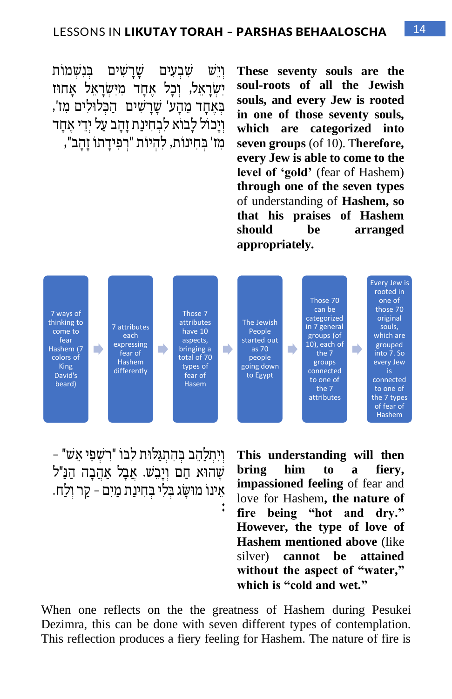ויִש שבעים שַרַשים בּנשמות ישראל, וכל אחד מישראל אחוז בִאחד מהע' שרשים | הכלולים מז', וְיָכול לַבוֹא לִבְחִינַת זַהֲב עַל יְדֵי אֲחָד מִז' בְחִינות, לִהְיוֹת "רִפְידַתוֹ זַהֲב", **These seventy souls are the soul-roots of all the Jewish souls, and every Jew is rooted in one of those seventy souls, which are categorized into seven groups** (of 10). T**herefore, every Jew is able to come to the level of 'gold'** (fear of Hashem) **through one of the seven types** of understanding of **Hashem, so that his praises of Hashem should be arranged appropriately.**



ויתלהב בהתגלות לבו "רשפי אש" – שהוא חם ויבש. אבל אהבה הנ"ל אֵׂ ינו מו ש ָ ג ב ְ לִ י ב ְ חִ ינַת מַ יִ ם – קַ ר וְ לַ ח.

**This understanding will then bring him to a fiery, impassioned feeling** of fear and love for Hashem**, the nature of fire being "hot and dry." However, the type of love of Hashem mentioned above** (like silver) **cannot be attained without the aspect of "water," which is "cold and wet."**

When one reflects on the the greatness of Hashem during Pesukei Dezimra, this can be done with seven different types of contemplation. This reflection produces a fiery feeling for Hashem. The nature of fire is

**:**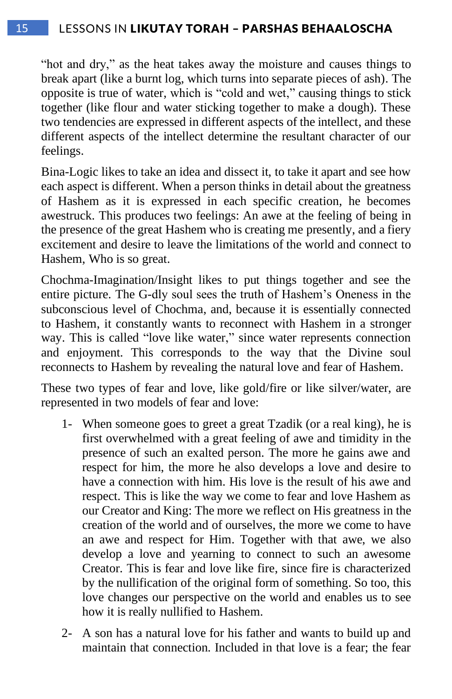#### 15 LESSONS IN LIKUTAY TORAH – PARSHAS BEHAALOSCHA

"hot and dry," as the heat takes away the moisture and causes things to break apart (like a burnt log, which turns into separate pieces of ash). The opposite is true of water, which is "cold and wet," causing things to stick together (like flour and water sticking together to make a dough). These two tendencies are expressed in different aspects of the intellect, and these different aspects of the intellect determine the resultant character of our feelings.

Bina-Logic likes to take an idea and dissect it, to take it apart and see how each aspect is different. When a person thinks in detail about the greatness of Hashem as it is expressed in each specific creation, he becomes awestruck. This produces two feelings: An awe at the feeling of being in the presence of the great Hashem who is creating me presently, and a fiery excitement and desire to leave the limitations of the world and connect to Hashem, Who is so great.

Chochma-Imagination/Insight likes to put things together and see the entire picture. The G-dly soul sees the truth of Hashem's Oneness in the subconscious level of Chochma, and, because it is essentially connected to Hashem, it constantly wants to reconnect with Hashem in a stronger way. This is called "love like water," since water represents connection and enjoyment. This corresponds to the way that the Divine soul reconnects to Hashem by revealing the natural love and fear of Hashem.

These two types of fear and love, like gold/fire or like silver/water, are represented in two models of fear and love:

- 1- When someone goes to greet a great Tzadik (or a real king), he is first overwhelmed with a great feeling of awe and timidity in the presence of such an exalted person. The more he gains awe and respect for him, the more he also develops a love and desire to have a connection with him. His love is the result of his awe and respect. This is like the way we come to fear and love Hashem as our Creator and King: The more we reflect on His greatness in the creation of the world and of ourselves, the more we come to have an awe and respect for Him. Together with that awe, we also develop a love and yearning to connect to such an awesome Creator. This is fear and love like fire, since fire is characterized by the nullification of the original form of something. So too, this love changes our perspective on the world and enables us to see how it is really nullified to Hashem.
- 2- A son has a natural love for his father and wants to build up and maintain that connection. Included in that love is a fear; the fear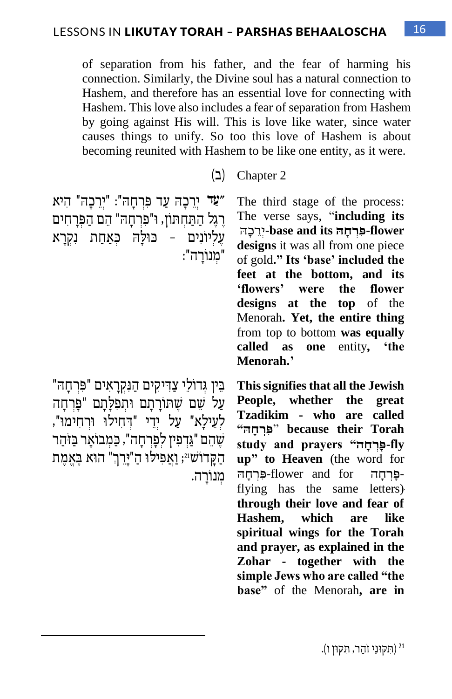of separation from his father, and the fear of harming his connection. Similarly, the Divine soul has a natural connection to Hashem, and therefore has an essential love for connecting with Hashem. This love also includes a fear of separation from Hashem by going against His will. This is love like water, since water causes things to unify. So too this love of Hashem is about becoming reunited with Hashem to be like one entity, as it were.

2 Chapter( ב(

**"ַעד** יְרֵׂ כָ ה עַ ד פ ִ רְ חָ ה " : " יְרֵׂ כָ ה " הִ יא רֶגֶל הַתַּחִתּוֹן, ו"פִרְחָה" הֶם הַפְּרַחִים עליונים – כולה כאחת נקרא " מנורה":

The third stage of the process: The verse says, "**including its**  *flower*-*dower* **designs** it was all from one piece of gold**." Its 'base' included the feet at the bottom, and its 'flowers' were the flower designs at the top** of the Menorah**. Yet, the entire thing**  from top to bottom **was equally called as one** entity**, 'the Menorah.'**

"בִּין גִדוֹלֵי צַדִּיקִים הַנִּקְרַאִים "פִּרְחַה עַל שם שתורתם ותפלתם "פַּרחַה לְ עִילָא" עַל יִדִי "דְחִילוּ וּרְחִימוּ", שֶׁהֶם "גַּדְפִין לִפָּרְחַה", כַּמְבוֹאַר בַּזּהַר הַקֲדוֹש<sup>21</sup>; וַאֲפִילוּ הַ"יָּרֵךְ" הוּא בֵּאֲמֶת מִנוֹרַה.

**This signifies that all the Jewish People, whether the great Tzadikim - who are called Torah their because** " **ִפְּר ָּח ה" study** and prayers "**חַבּרחה up" to Heaven** (the word for -פְּרְחָה -flower and for-פִּרְחָהּ<br>flying has the same letters) פּרְחה flower and for**through their love and fear of Hashem, which are like spiritual wings for the Torah and prayer, as explained in the Zohar - together with the simple Jews who are called "the base"** of the Menorah**, are in**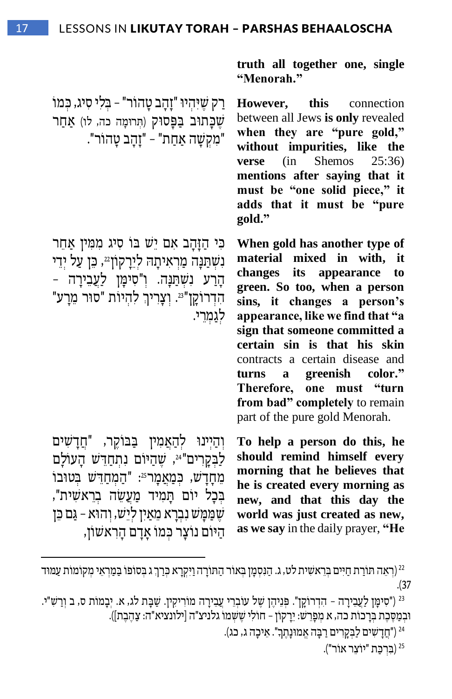ַרַק שֵׁיְּהִיוּ "זָהָב טָהוֹר" – בְּלִי סִיג, כִּמוֹ שכתוב בפסוק (תְּרוּמַה כה, לו) אַחַר "מִ קְ ש ָ ה אַ חַ ת" – "זָהָ ב טָ הו ר".

כִי הַזָּהֵב אִם יֵּשׁ בּוֹ סִיג מִמְין אַחֵר נִשְׁתַּנַה מַרְאִיתַה לְיֵרָקוֹן22, כֵּן עַל יְדֵי הַרַע נִשְׁתַּנָּה. וְ"סִימָּן לַ<mark>עֲבֵירָה -</mark> ּהִדְרוֹקָן"<sup>23</sup>. וְצָרִיךְ לְהְיוֹת "סוּר מֵרָע" לגמרי.

וְהַיִּינוּ לְהָאֲמִין בַּבּוֹקֵר, "חֲדַשִׁים לַבְקָרִים"<sup>24</sup>, שֶׁהַיּוֹם נִתְחַדֵּשׁ הָעוֹלָם ּמְחָדָשׁ, כִּמַאֲמָר<sup>25</sup>: "הַמְחַדֵּשׁ בְּטוּבוֹ בְּכָל יוֹם תַּמִיד מַעֲשֶׂה בְרֵאשִׁית", שְׁמַּמַּשׁ נִבְרָא מֵאַיִן לְיֵשׁ, וְהוּא – גַּם כֵּוֹ היום נוצר כמו אדם הראשון,

**truth all together one, single "Menorah."**

**However, this** connection between all Jews **is only** revealed **when they are "pure gold," without impurities, like the verse** (in Shemos 25:36) **mentions after saying that it must be "one solid piece," it adds that it must be "pure gold."**

**When gold has another type of material mixed in with, it changes its appearance to green. So too, when a person sins, it changes a person's appearance, like we find that "a sign that someone committed a certain sin is that his skin**  contracts a certain disease and **turns a greenish color." Therefore, one must "turn from bad" completely** to remain part of the pure gold Menorah.

**To help a person do this, he should remind himself every morning that he believes that he is created every morning as new, and that this day the world was just created as new, as we say** in the daily prayer, **"He** 

<sup>23</sup> ("סִימֶן לַעֲבֵירָה - הִדְרוֹקֵן". פְּנֵיהֵן שֵׁל עוֹבְרֵי עֲבֵירָה מוֹרִיקִין. שַׁבָּת לג, א. יִבָמוֹת ס, ב וְרַשִׁ"י. ובמסכת ברכות כה, א מפרש: ירקון – חולי ששמו גלניצ"ה [ילונציא"ה: צהבת]).

ון ("חדשים לבקרים רבה אמוּנתך". איכה ג, כג')

(ברכת "יוצר אור").

<sup>&</sup>lt;sup>22</sup> (רִאֵה תּוֹרַת חַיִּים בְּרֵאשִׁית לט, ג. הַנִּסְמָן בְּאוֹר הַתּוֹרָה וַיִּקְרָא כְּרַךְג בְּסוֹפוֹ בַּמַרְאֵי מְקוֹמוֹת עַמּוּד .)37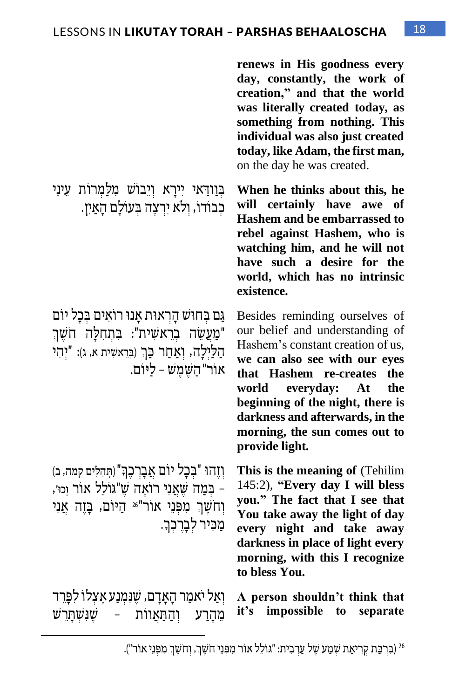**renews in His goodness every day, constantly, the work of creation," and that the world was literally created today, as something from nothing. This individual was also just created today, like Adam, the first man,** on the day he was created.

**When he thinks about this, he will certainly have awe of Hashem and be embarrassed to rebel against Hashem, who is watching him, and he will not have such a desire for the world, which has no intrinsic existence.** 

Besides reminding ourselves of our belief and understanding of Hashem's constant creation of us, **we can also see with our eyes that Hashem re-creates the world everyday: At the beginning of the night, there is darkness and afterwards, in the morning, the sun comes out to provide light.** 

**This is the meaning of** (Tehilim 145:2), **"Every day I will bless you." The fact that I see that You take away the light of day every night and take away darkness in place of light every morning, with this I recognize to bless You.**

**A person shouldn't think that impossible** to separate

כְבוֹדוֹ, וְלֹא יִרְצֶה בְּעוֹלַם הַאַיִן.

בְוַודַאי יִירַא וְיֵבוֹשׁ מִלַּמְרוֹת עֵינֵי

גַם בְחוּש הַרְאוּת אַנוּ רוֹאִים בְּכַל יוֹם "מַעֲשֶׂה בְרֵאשִׁית": בְּתְחָלַה חֹשֶׁךְ הַ לַיִלְה, וְאַחַר כַּךְ (בְּרֵאשִׁית א, ג): "יְהֵי אור" השמש - ליום.

ָ' וְזֶהוּ "בִכָל יוֹם אֲבָרְכֵךְ" (תְּהִלִּים קמה, ב) – בְּמַה שֶׁאֲנִי רוֹאֱה שֶׁ"גּוֹלֵל אוֹר וְּכוּ׳, וְחֹשֶׁךְ מִפְּנֵי אוֹר"26 הַיּוֹם, בָּזֶה אֲנִי מִכּיר לברכך.

וֹאַל יֹאמַר הָאַדָם, שַנַמנַע אַצלו לִפְּרִד מֹהֵרַע וְהַתְּאווֹת – שַׁנַשְׁתַּרִשׁ it's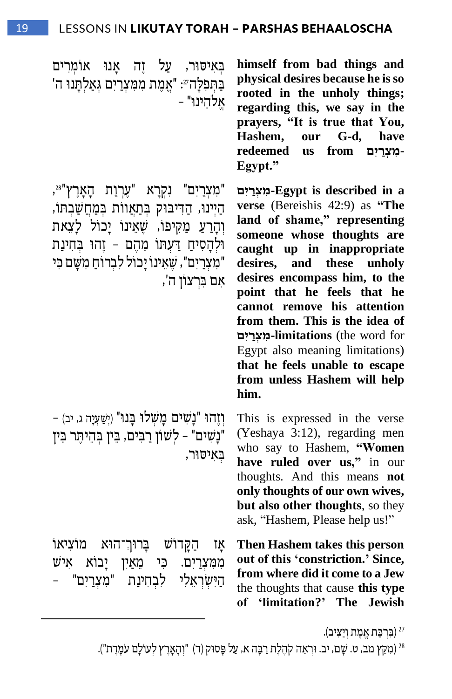**himself from bad things and physical desires because he is so rooted in the unholy things; regarding this, we say in the prayers, "It is true that You, Hashem, our G-d, have ".Egypt-מִ צְּ ר יִַׁם from us redeemed**

**a in described is Egypt-מִ צְּ ר יִַׁם verse** (Bereishis 42:9) as **"The land of shame," representing someone whose thoughts are caught up in inappropriate desires, and these unholy desires encompass him, to the point that he feels that he cannot remove his attention from them. This is the idea of**  for word the (**limitations-מִ צְּ ר יִַׁם** Egypt also meaning limitations) **that he feels unable to escape from unless Hashem will help him.**

This is expressed in the verse (Yeshaya 3:12), regarding men who say to Hashem, **"Women have ruled over us,"** in our thoughts. And this means **not only thoughts of our own wives, but also other thoughts**, so they ask, "Hashem, Please help us!"

**Then Hashem takes this person out of this 'constriction.' Since, from where did it come to a Jew**  the thoughts that cause **this type of 'limitation?' The Jewish** 

באיסור, על זה אנו אומרים בְּתִפְלָהְ 27 "אֱמֶת מִמְצְרַיִם גְּאַלְתֲנוּ ה' אלהינו" -

"מִצְרַיִם" נִקְרָא "עֵרְוַת הָאָרֵץ"», הַיִּינוּ, הַדִּיבּוּק בּתַאֲוות בּמַחֲשָבִתּוֹ, וְהַרַעַ מַקִּיפוֹ, שֵׁאֵינוֹ יַכוֹל לַצֵאת וּלְהָסִיחַ דַּעְתּוֹ מֶהֶם - זֶהוּ בְחִינַת "מִצְרַיִם", שֶאֵינוֹ יַכוֹל לִבְרוֹחַ מִשָּׁם כִּי אם ברצוו ה',

- וְזֶהוּ "נַשים מַשׁלוּ בַּנוּ" (יִשְׁעָיָה ג, יב) " נַשׁים" - לֹשׁוֹן רַבּים, בִּין בַּהִיתִּר בִּין באיסור,

אַז הַקַּדוֹשׁ בַּרוּךְ־הוּא מוֹצִיאוֹ ממּצרַיִם. כּי מִאַיִן יַבוֹא אִישׁ הישׂראלי לבחינת "מצרים"

(ברכת אמת ויציב). <sup>27</sup>

<sup>28</sup> (מִקֵּץ מב, ט. שַׁם, יב. וּרְאֵה קֹהֱלֵת רַבָּה א, עַל פָּסוּק (ד) "וְהָאָרֵץ לְעוֹלָם עֹמָדֵת").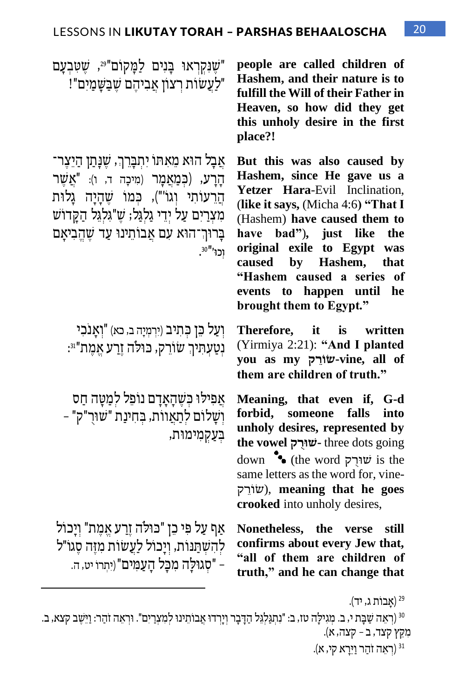שִׁנָקְרְאוּ בָּנִים לַמַּקוֹם"<sup>99</sup>, שֵׁטָּבְעָם" "לעשות רצון אביהם שבשמים"!

אֲבָל הוֹא מֵאִתו יִתְבַּרֶךְ, שֻׁנַּתַן הַיֵּצֶר־ הַרַע, (כִּמַאֲמַר (מִיכָה ד, ו): "אֲשֶׁר הַרעוֹתי וגוֹ"), כּמוֹ שַׁהַיָה גַלוּת מִצְרַיִם עַל יְדֵי גַלְגַּל; שֵׁ"גּלגל הַקֵּדוֹשׁ בָרוּךְ־הוּא עִם אַבוֹתֵינוּ עַד שֶׁהֱבִיאָם וְכוּ'"30.

וְעַל כֵּן כְּתִיב (יִרְמְיָה ב, כא) "וְאֲנֹכִי ּנְטַעָתִּיךְ שׂוֹרֵק, כּוּלֹה זֶרַע אֱמֶת"ּוּ:

אֲפִילוּ כִּשֶׁהַאַדַם נוֹפֵל לִמַטַּה חַס וְ ש ָ לו ם לְ תַ אֲ וו ת, ב ְ חִ ינַת " ש ו רֻּ " ק" – בעקמימוּת,

אַף עַל פִּי כֵו "כּוּלֹה זֶרַע אֱמֶת" וְיַכוֹל להשתנות, ויכול לעשות מזה סגו"ל – "סגוּלה מכל העמים" (יתרו יט, ה.

**people are called children of Hashem, and their nature is to fulfill the Will of their Father in Heaven, so how did they get this unholy desire in the first place?!**

**But this was also caused by Hashem, since He gave us a Yetzer Hara**-Evil Inclination, (**like it says,** (Micha 4:6**) "That I**  (Hashem) **have caused them to have bad"**)**, just like the original exile to Egypt was caused by Hashem, that "Hashem caused a series of events to happen until he brought them to Egypt."**

**Therefore, it is written**  (Yirmiya 2:21): **"And I planted you as my ק ֵׂר ֹו ש-vine, all of them are children of truth."** 

**Meaning, that even if, G-d forbid, someone falls into unholy desires, represented by the vowel רק שו -** three dots going down **•** (the word שורק) is the same letters as the word for, vine-ק ֵׂר ו ש(, **meaning that he goes crooked** into unholy desires,

**Nonetheless, the verse still confirms about every Jew that, "all of them are children of truth," and he can change that** 

<sup>30</sup> (רִאֵה שַׁבָּת י, ב. מִגִילַּה טז, ב: "נִתְגַּלְגֵּל הַדָּבָר וִיָרְדוּ אֲבוֹתֵינוּ לִמְצְרַיִם". וּרְאֵה זהַר: וַיֵּשֵׁב קִצא, ב. מִ ק ֵׂ ץ קצד, ב – קצה, א(.

<sup>31</sup> (רִאֲה זֹהַר וַיֵּרַא קי, א).

א**ָבוֹת ג, יד).** 29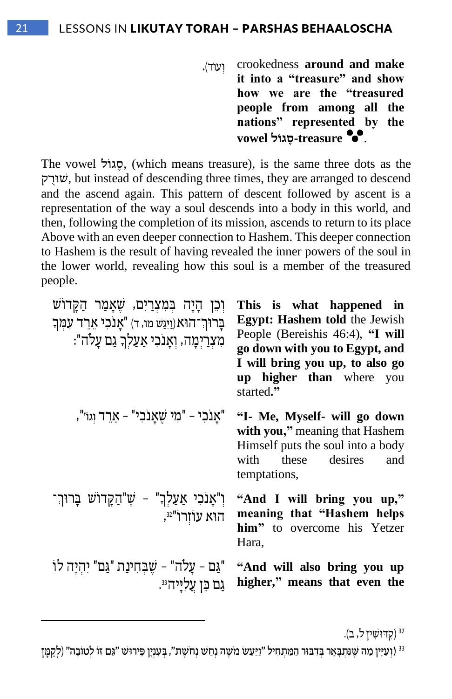.)ד עו ְו crookedness **around and make it into a "treasure" and show how we are the "treasured people from among all the nations" represented by the**  . **treasure-סֶ גוַֹׁל vowel**

The vowel האול, (which means treasure), is the same three dots as the ק ֻּר ו ש, but instead of descending three times, they are arranged to descend and the ascend again. This pattern of descent followed by ascent is a representation of the way a soul descends into a body in this world, and then, following the completion of its mission, ascends to return to its place Above with an even deeper connection to Hashem. This deeper connection to Hashem is the result of having revealed the inner powers of the soul in the lower world, revealing how this soul is a member of the treasured people.

| וִכֶּן הַיַּה בִּמְעְרַיִם, שֵׁאֲמַר הַקֵּדוֹשׁ<br>בַרוּךְ־הוּא (וַיְגַּשׁ מוּ, ד) "אַנכִי אָרֶד עָמְךָ<br>מִצְרַיִמָה, וְאָנֹכִי אַעַלְךְ גַם עָלה": | This is what happened in<br><b>Egypt: Hashem told the Jewish</b><br>People (Bereishis 46:4), "I will<br>go down with you to Egypt, and<br>I will bring you up, to also go<br><b>up higher than</b> where you<br>started." |
|-------------------------------------------------------------------------------------------------------------------------------------------------------|---------------------------------------------------------------------------------------------------------------------------------------------------------------------------------------------------------------------------|
| "אַנכִי - "מִי שֵׁאַנכִי" - אָרֶד וְגוֹ",                                                                                                             | "I- Me, Myself- will go down<br>with you," meaning that Hashem<br>Himself puts the soul into a body<br>these<br>desires<br>with<br>and<br>temptations,                                                                    |
| וִ"אַנכִי אַעַלְךָ" - שֵׁ"הַקַּדוֹשׁ בַּרוּךְ־<br>הוא עוורו" <sup>32</sup> ,                                                                          | "And I will bring you up,"<br>meaning that "Hashem helps<br>him" to overcome his Yetzer<br>Hara,                                                                                                                          |
| "גַּם – עָלה" – שֵׁבְחִינַת "גַּם" יִהְיֵה לוֹ<br>גם כֵּן עַליִּיה ּ                                                                                  | "And will also bring you up<br>higher," means that even the                                                                                                                                                               |

<sup>32</sup> (קִדּוּשִׁין ל, ב).

<sup>33</sup> (וְעַיֵּין מה שֵׁנַּתִּבַּאֵר בַּדְבּוּר הַמַּתְחִיל "וַיִּעַשׂ מֹשֶׁה נַחִשׁ נחשָׁת", בִּעְנַין פֵּירוּשׁ "גִּם זוֹ לְטוֹבַה" (לִקְמַן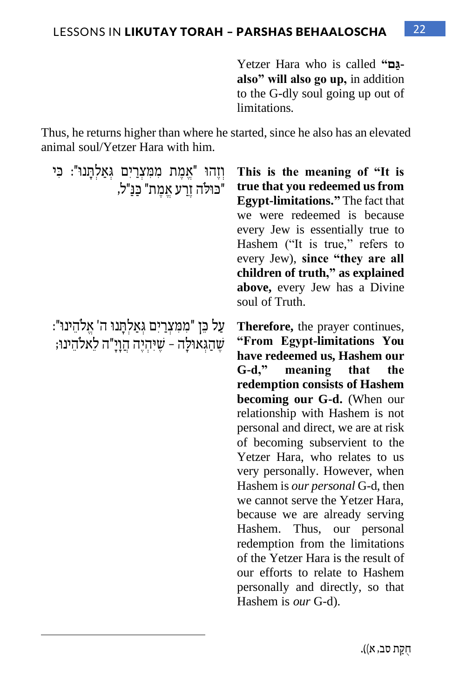Yetzer Hara who is called **"םַׁ גalso" will also go up,** in addition to the G-dly soul going up out of limitations.

Thus, he returns higher than where he started, since he also has an elevated animal soul/Yetzer Hara with him.

וְזֶהוּ "אֱמֶת מִמְּצְרַיִם גְּאַלְתֲנוּ": כִּי "כּוּלֹה זרע אַמת" כַּנַ"ל,

ַ עַל כּן "ממצרים גאַלתּנוּ ה' אַלהינוּ": ְ' \_ שֶׁהַגְּאוּלָה – שֶׁיּהִיֶּה הַוָיָ"ה לַאלהֵינוּ;

**This is the meaning of "It is true that you redeemed us from Egypt-limitations."** The fact that we were redeemed is because every Jew is essentially true to Hashem ("It is true," refers to every Jew), **since "they are all children of truth," as explained above,** every Jew has a Divine soul of Truth.

**Therefore,** the prayer continues, **"From Egypt-limitations You have redeemed us, Hashem our G-d," meaning that the redemption consists of Hashem becoming our G-d.** (When our relationship with Hashem is not personal and direct, we are at risk of becoming subservient to the Yetzer Hara, who relates to us very personally. However, when Hashem is *our personal* G-d, then we cannot serve the Yetzer Hara, because we are already serving Hashem. Thus, our personal redemption from the limitations of the Yetzer Hara is the result of our efforts to relate to Hashem personally and directly, so that Hashem is *our* G-d).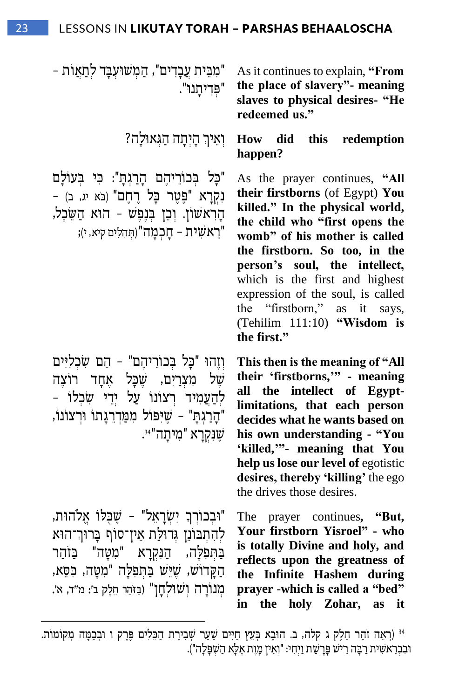"מִבֵּית עֵבָדִים", הַמְשוּעָבָּד לִתַאֲוֹת – " פ ְ דִ יתָ נו ". As it continues to explain, **"From the place of slavery"- meaning slaves to physical desires- "He redeemed us." P** וְאֵיךְ הָיִתָה הַגְאוּלָה **How** did this redemption **happen?** "כָּל בְּכוֹרֵיהֶם הָרַגִתָּ": כִּי בְּעוֹלַם נִקְרָא "פֵּטֶר כַל רָחֲם" (בֹּא יג, ב) -הָרְאשׁוֹן. וְכֵן בְּנֶפֶשׁ – הוֹא הַשֶּׂכָל, "רֵׂ אש ִ ית – חָ כְ מָ ה")ת ְ הִ ל ִ ים קיא, י(; As the prayer continues, **"All their firstborns** (of Egypt) **You killed." In the physical world, the child who "first opens the womb" of his mother is called the firstborn. So too, in the person's soul, the intellect,**  which is the first and highest expression of the soul, is called the "firstborn," as it says, (Tehilim 111:10) **"Wisdom is the first."** ' וְזֶהוּ "כָּל בְּכוֹרֵיהֵם" - הֵם שָׂכְלִיִּים של מצרים, שכל אחד רוצה להַעֲמִיד רֹצוֹנוֹ עַל יִדִי שֹכֹלוֹ – "הָרַגְתָּ" - שֶׁיִּפּוֹל מִמַּדְרֵגָתוֹ וּרְצוֹנוֹ, . ש ֶ נ ִ קְ רָ א " מִ יתָ ה" <sup>34</sup> **This then is the meaning of "All their 'firstborns,'" - meaning all the intellect of Egyptlimitations, that each person decides what he wants based on his own understanding - "You 'killed,'"- meaning that You help us lose our level of** egotistic

"וּבְכוֹרְךָ יִשְׂרָאֵל" - שֵכְּלוֹ אֱלֹהוּת, לְהִתְבוֹנֵן גְדוּלַת אֵין־סוֹף בַּרוּך־הוּא בתפלה, הַנקרַא "מִטַּה" בַּזֹהֵר ָהַקַדוֹשׁ, שֶׁיֵּּשׁ בַּתְּפְלָה "מִטָּה, כִּסֶא, מְנוֹרַה וְשוּלְחַן" (בַּזֹהַר חֶלֶק ב': מ"ד, א'.

The prayer continues**, "But, Your firstborn Yisroel" - who is totally Divine and holy, and reflects upon the greatness of the Infinite Hashem during prayer** -**which is called a "bed"** 

**in the holy Zohar, as it** 

**desires, thereby 'killing'** the ego

the drives those desires.

<sup>&</sup>lt;sup>34</sup> (רְאֵה זהַר חֵלֶק ג קלה, ב. הוּבָא בְּעֵץ חַיִּים שַׁעַר שְׁבִירַת הַכֵּלִים פֶּרֶק ו וּבְבַמָּה מְקוֹמוֹת. וּבְבְרָאשִׁית רִבְּה רִישׁ פַּרִשׁת וִיחִי: "וֹאִין מַוֹת אַלָּא הַשַּׁפַּלה").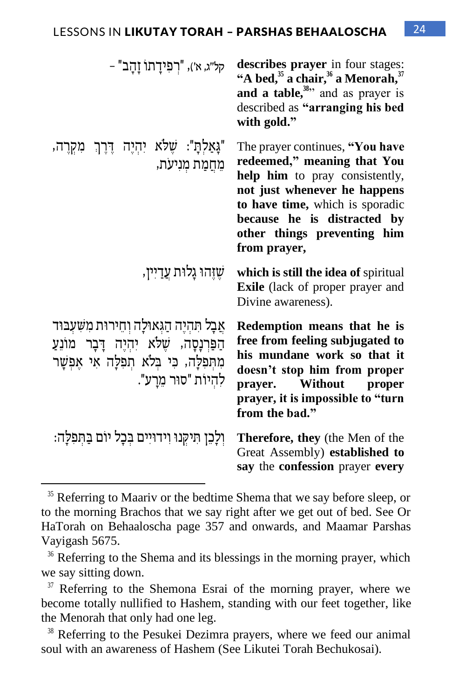| קל״ג, א׳), "רפידֻתו זָהָב" -                                                                                                                                              | describes prayer in four stages:<br>"A bed, <sup>35</sup> a chair, <sup>36</sup> a Menorah, <sup>37</sup><br>and a table, $38$ , and as prayer is<br>described as "arranging his bed<br>with gold."                                               |
|---------------------------------------------------------------------------------------------------------------------------------------------------------------------------|---------------------------------------------------------------------------------------------------------------------------------------------------------------------------------------------------------------------------------------------------|
| "גָּאַלְתָ": שָׁלֹא יִהְיֶה דֶּרֶךְ מִקְרֶה,<br>מֵחֲמַת מְנִיעֹת,                                                                                                         | The prayer continues, "You have<br>redeemed," meaning that You<br>help him to pray consistently,<br>not just whenever he happens<br>to have time, which is sporadic<br>because he is distracted by<br>other things preventing him<br>from prayer, |
| שֵׁזֵהוּ גָלוּת עֲדַיין,                                                                                                                                                  | which is still the idea of spiritual<br><b>Exile</b> (lack of proper prayer and<br>Divine awareness).                                                                                                                                             |
| אֲבָל תִּהְיֶה הַגְּאוּלָה וְחֵירוּת מִשְׁעָבּוּד<br>הַפַּרְנָסָה, שֵׁלֹא יִהְיֵה דָּבָר מוֹנֵעַ<br>מִתְּפִלָּה, כִּי בְּלֹא תְפִלָּה אִי אֶפִשָּׁר<br>להיות "סור מֵרַע". | Redemption means that he is<br>free from feeling subjugated to<br>his mundane work so that it<br>doesn't stop him from proper<br>prayer.<br>Without<br>proper<br>prayer, it is impossible to "turn<br>from the bad."                              |
| וְלָכֵן תִּיקְנוּ וְידוּיִים בִּכָל יוֹם בַּתִּפְלָה:                                                                                                                     | <b>Therefore, they</b> (the Men of the<br>Great Assembly) established to<br>say the confession prayer every                                                                                                                                       |

 $35$  Referring to Maariv or the bedtime Shema that we say before sleep, or to the morning Brachos that we say right after we get out of bed. See Or HaTorah on Behaaloscha page 357 and onwards, and Maamar Parshas Vayigash 5675.

<sup>&</sup>lt;sup>36</sup> Referring to the Shema and its blessings in the morning prayer, which we say sitting down.

<sup>&</sup>lt;sup>37</sup> Referring to the Shemona Esrai of the morning prayer, where we become totally nullified to Hashem, standing with our feet together, like the Menorah that only had one leg.

<sup>38</sup> Referring to the Pesukei Dezimra prayers, where we feed our animal soul with an awareness of Hashem (See Likutei Torah Bechukosai).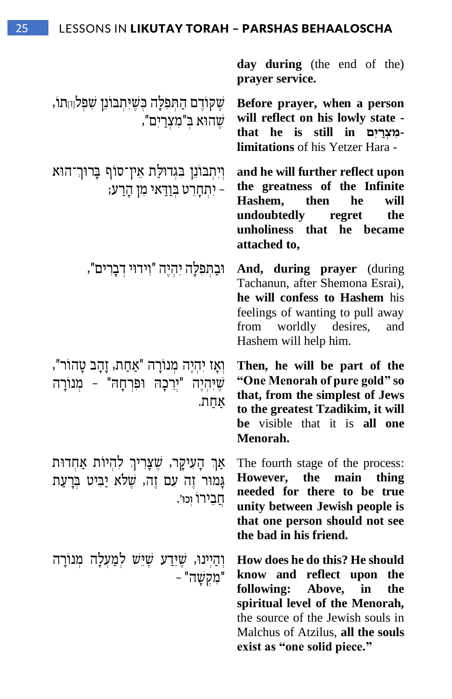**day during** (the end of the) **prayer service.** שֵקוֹדֶם הַתִּפְלָה כְּשֶׁיּתְבּוֹנֵן שִׁפְלוּחָתוֹ, ש ֶ הו א ב ְ " מִ צְ רַ יִ ם", **Before prayer, when a person will reflect on his lowly state that he is still in םִַׁי ר ְּצ ִמlimitations** of his Yetzer Hara - וִיתְבוֹנֵן בְגְדוּלַת אֵין־סוֹף בָרוּך־הוּא – יִ תְ חָ רֵׂ ט ב ְ וַ ד ַ א י מִ ן הָ רַ ע; **and he will further reflect upon the greatness of the Infinite Hashem, then he will undoubtedly regret the unholiness that he became attached to,**  , וּבַתְּפִלָּה יִהְיֶה "וִידוּי דְבָרִים", And, during prayer (during Tachanun, after Shemona Esrai), **he will confess to Hashem** his feelings of wanting to pull away from worldly desires, and Hashem will help him. וְאָז יִהְיֶה מְנוֹרָה "אַחַת, זָהָב טָהוֹר", ֶש י " יְרֵׂ כָ ה ו פִ רְ חָ ה " – מְ נו רָ ה ִ ְהֶיה אַ חַ ת. **Then, he will be part of the "One Menorah of pure gold" so that, from the simplest of Jews to the greatest Tzadikim, it will be** visible that it is **all one Menorah.** אַך הָעִיקֶר, שֶׁצָרִיךְ לְהִיוֹת אַחְדוּת גמוּר זה עם זה, שלֹא יַביט ברַעַת חבירו וכו'. The fourth stage of the process: **However, the main thing needed for there to be true unity between Jewish people is that one person should not see the bad in his friend.** וְהַיִינוּ, שֶׁיֵּדַע שֵׁיֵּשׁ לְמַעָלַה מִנוֹרַה " מִ קְ ש ָ ה" – **How does he do this? He should know and reflect upon the following: Above, in the spiritual level of the Menorah,**  the source of the Jewish souls in Malchus of Atzilus, **all the souls exist as "one solid piece."**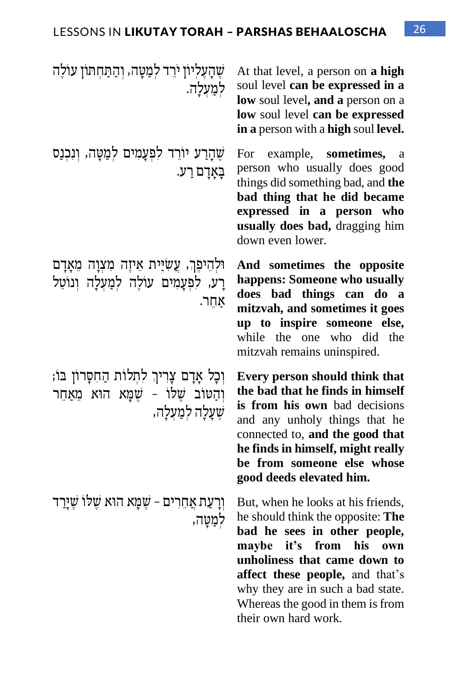| שֶׁהָעֶלְיוֹן ירֵד לְמַטָּה, וְהַתַּחְתוֹן עוֹלֶה<br>לִמַעִלַה.                                                | At that level, a person on a high<br>soul level can be expressed in a<br>low soul level, and a person on a<br>low soul level can be expressed<br>in a person with a high soul level.                                                                                                                               |
|----------------------------------------------------------------------------------------------------------------|--------------------------------------------------------------------------------------------------------------------------------------------------------------------------------------------------------------------------------------------------------------------------------------------------------------------|
| שֶׁהָרַע יוֹרֵד לִפְעָמִים לְמַטָּה, וְנִכְנַס<br>בָּאָדָם רַע.                                                | For<br>example,<br>sometimes,<br>a<br>person who usually does good<br>things did something bad, and the<br>bad thing that he did became<br>expressed in a person who<br>usually does bad, dragging him<br>down even lower.                                                                                         |
| וּלְהֵיפֵךְ, עֲשִׂיַּית אֵיזֶה מִצְוָה מֵאֲדָם<br>רַע, לפְעָמִים עוֹלֶה לְמַעְלָה וְנוֹטֵל<br>אחר.             | And sometimes the opposite<br>happens: Someone who usually<br>does bad things can do<br>a<br>mitzvah, and sometimes it goes<br>up to inspire someone else,<br>while the one who did<br>the<br>mitzvah remains uninspired.                                                                                          |
| וְכָל אָדָם צָרִיךְ לִתְלוֹת הַחִסָּרוֹן בּוֹ;<br>וִהַטוֹב שֶׁלוֹ - שֶׁמָּא הוּא מֵאַחֵר<br>שֶׁעָלָה למַעִלַה, | Every person should think that<br>the bad that he finds in himself<br>is from his own bad decisions<br>and any unholy things that he<br>connected to, and the good that<br>he finds in himself, might really<br>be from someone else whose<br>good deeds elevated him.                                             |
| וְרָעַת אֲחֵרִים - שֶׁמָּא הוּא שֶׁלוֹ שֶׁיַּרַד<br>לִמֲטֵה,                                                   | But, when he looks at his friends,<br>he should think the opposite: The<br>bad he sees in other people,<br>it's<br>from<br>his<br>maybe<br>own<br>unholiness that came down to<br>affect these people, and that's<br>why they are in such a bad state.<br>Whereas the good in them is from<br>their own hard work. |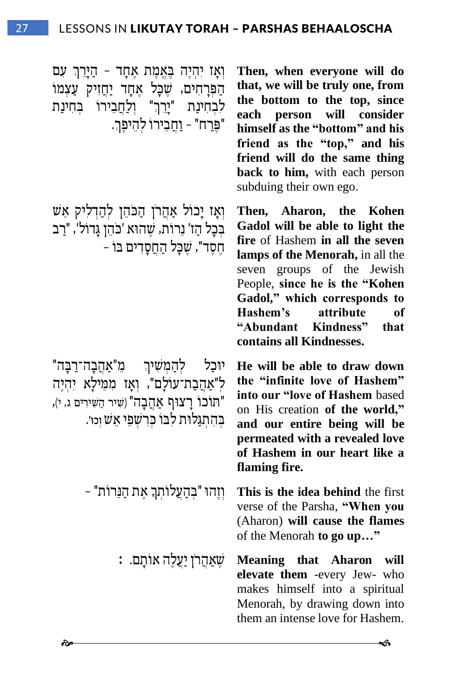ַ וְאָז יִהְיֶה בָּאֱמֶת אֶחָד - הַיָּרֵךְ עִם הַפּרַחִים, שַׁכַּל אַחַד יַחֲזִיק עַצְמוֹ ם <sup>tne ל</sup>ִבְחִינַת "יְרֵךְ" וְלַחֲבֵירוֹ בְּחִינַת " "פֵּרַח" - וַחֲבֵירוֹ לְהֵיפֵךְ.

וְאָז יָכול אַהֲרֹן הַכֹּהֵן לְהַדְלִיק אֵשׁ בְּכַל הַז' נֵרוֹת, שֵׁהוּא 'כֹּהֶן גַּדוֹל', "רַב חסד", שכל החסדים בו -

יוּכַל לְהַמְשִׁיךְ מֵ"אַהֵבָה־רַבָּה" ל"אַהֲבַת־עוֹלָם", וֹאֵז ממילָא יִהִיה "תוכו רַצוּף אַהַבָה" (שִׁיר הַשִּׁירִים ג, י), בְהַתְגַּלוּת לְבוֹ כְּרְשָׁפֵי אֵשׁ וְכוּ׳.

**Then, when everyone will do that, we will be truly one, from the bottom to the top, since each person will consider himself as the "bottom" and his friend as the "top," and his friend will do the same thing back to him,** with each person subduing their own ego.

**Then, Aharon, the Kohen Gadol will be able to light the fire** of Hashem **in all the seven lamps of the Menorah,** in all the seven groups of the Jewish People, **since he is the "Kohen Gadol," which corresponds to Hashem's attribute of "Abundant Kindness" that contains all Kindnesses.**

**He will be able to draw down the "infinite love of Hashem" into our "love of Hashem** based on His creation **of the world," and our entire being will be permeated with a revealed love of Hashem in our heart like a flaming fire.**

ן יְהוּ "בְּהָעֲלוֹתְךָ אֶת הַנֵּרוֹת"<br>**This is the idea behind** the first verse of the Parsha, **"When you** (Aharon) **will cause the flames**  of the Menorah **to go up…"**

> **: שֵׂאֲהֲרֹן יַעֲלֶה אוֹתָם.**  $\ddot{a}$  **Meaning that Aharon will elevate them** -every Jew- who makes himself into a spiritual Menorah, by drawing down into them an intense love for Hashem.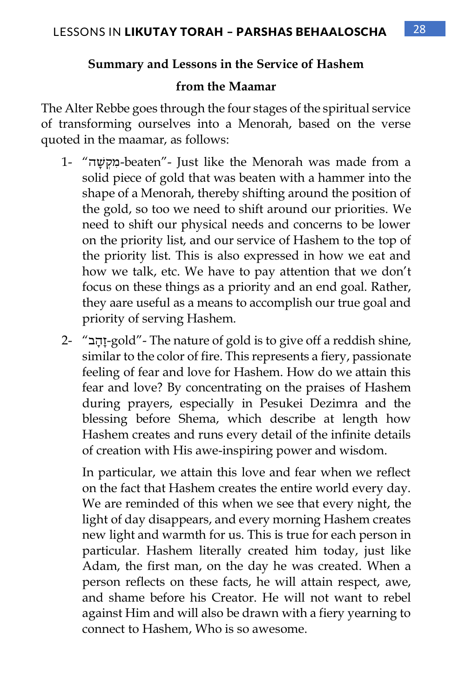#### **Summary and Lessons in the Service of Hashem**

#### **from the Maamar**

The Alter Rebbe goes through the four stages of the spiritual service of transforming ourselves into a Menorah, based on the verse quoted in the maamar, as follows:

- 1- "ה ָ ש ְק ִמ-beaten"- Just like the Menorah was made from a solid piece of gold that was beaten with a hammer into the shape of a Menorah, thereby shifting around the position of the gold, so too we need to shift around our priorities. We need to shift our physical needs and concerns to be lower on the priority list, and our service of Hashem to the top of the priority list. This is also expressed in how we eat and how we talk, etc. We have to pay attention that we don't focus on these things as a priority and an end goal. Rather, they aare useful as a means to accomplish our true goal and priority of serving Hashem.
- 2- "ב ָהָז-gold"- The nature of gold is to give off a reddish shine, similar to the color of fire. This represents a fiery, passionate feeling of fear and love for Hashem. How do we attain this fear and love? By concentrating on the praises of Hashem during prayers, especially in Pesukei Dezimra and the blessing before Shema, which describe at length how Hashem creates and runs every detail of the infinite details of creation with His awe-inspiring power and wisdom.

In particular, we attain this love and fear when we reflect on the fact that Hashem creates the entire world every day. We are reminded of this when we see that every night, the light of day disappears, and every morning Hashem creates new light and warmth for us. This is true for each person in particular. Hashem literally created him today, just like Adam, the first man, on the day he was created. When a person reflects on these facts, he will attain respect, awe, and shame before his Creator. He will not want to rebel against Him and will also be drawn with a fiery yearning to connect to Hashem, Who is so awesome.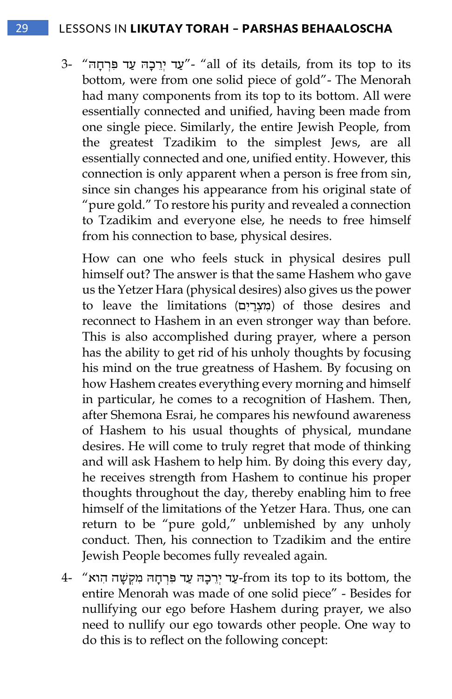#### 29 LESSONS IN LIKUTAY TORAH – PARSHAS BEHAALOSCHA

3- "עַד יִרֲכָה עַד פִּרְחָה" - "all of its details, from its top to its bottom, were from one solid piece of gold"- The Menorah had many components from its top to its bottom. All were essentially connected and unified, having been made from one single piece. Similarly, the entire Jewish People, from the greatest Tzadikim to the simplest Jews, are all essentially connected and one, unified entity. However, this connection is only apparent when a person is free from sin, since sin changes his appearance from his original state of "pure gold." To restore his purity and revealed a connection to Tzadikim and everyone else, he needs to free himself from his connection to base, physical desires.

How can one who feels stuck in physical desires pull himself out? The answer is that the same Hashem who gave us the Yetzer Hara (physical desires) also gives us the power to leave the limitations (מִצְרַיִם) of those desires and reconnect to Hashem in an even stronger way than before. This is also accomplished during prayer, where a person has the ability to get rid of his unholy thoughts by focusing his mind on the true greatness of Hashem. By focusing on how Hashem creates everything every morning and himself in particular, he comes to a recognition of Hashem. Then, after Shemona Esrai, he compares his newfound awareness of Hashem to his usual thoughts of physical, mundane desires. He will come to truly regret that mode of thinking and will ask Hashem to help him. By doing this every day, he receives strength from Hashem to continue his proper thoughts throughout the day, thereby enabling him to free himself of the limitations of the Yetzer Hara. Thus, one can return to be "pure gold," unblemished by any unholy conduct. Then, his connection to Tzadikim and the entire Jewish People becomes fully revealed again.

 $4$ - "עַר פְּרְחָה מִקְשָׁה הָואַ -from its top to its bottom, the entire Menorah was made of one solid piece" - Besides for nullifying our ego before Hashem during prayer, we also need to nullify our ego towards other people. One way to do this is to reflect on the following concept: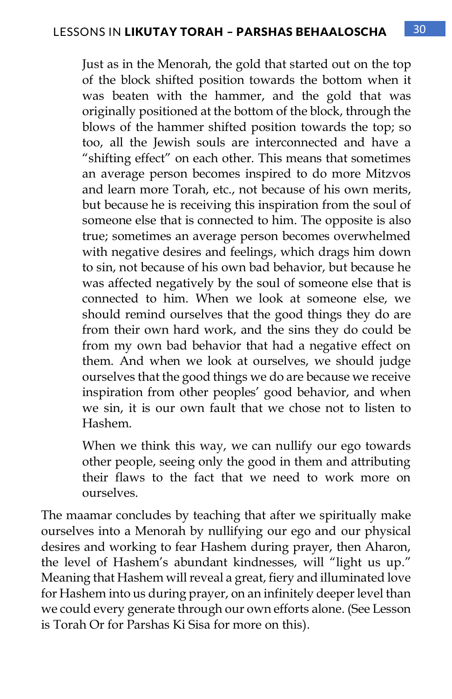Just as in the Menorah, the gold that started out on the top of the block shifted position towards the bottom when it was beaten with the hammer, and the gold that was originally positioned at the bottom of the block, through the blows of the hammer shifted position towards the top; so too, all the Jewish souls are interconnected and have a "shifting effect" on each other. This means that sometimes an average person becomes inspired to do more Mitzvos and learn more Torah, etc., not because of his own merits, but because he is receiving this inspiration from the soul of someone else that is connected to him. The opposite is also true; sometimes an average person becomes overwhelmed with negative desires and feelings, which drags him down to sin, not because of his own bad behavior, but because he was affected negatively by the soul of someone else that is connected to him. When we look at someone else, we should remind ourselves that the good things they do are from their own hard work, and the sins they do could be from my own bad behavior that had a negative effect on them. And when we look at ourselves, we should judge ourselves that the good things we do are because we receive inspiration from other peoples' good behavior, and when we sin, it is our own fault that we chose not to listen to Hashem.

When we think this way, we can nullify our ego towards other people, seeing only the good in them and attributing their flaws to the fact that we need to work more on ourselves.

The maamar concludes by teaching that after we spiritually make ourselves into a Menorah by nullifying our ego and our physical desires and working to fear Hashem during prayer, then Aharon, the level of Hashem's abundant kindnesses, will "light us up." Meaning that Hashem will reveal a great, fiery and illuminated love for Hashem into us during prayer, on an infinitely deeper level than we could every generate through our own efforts alone. (See Lesson is Torah Or for Parshas Ki Sisa for more on this).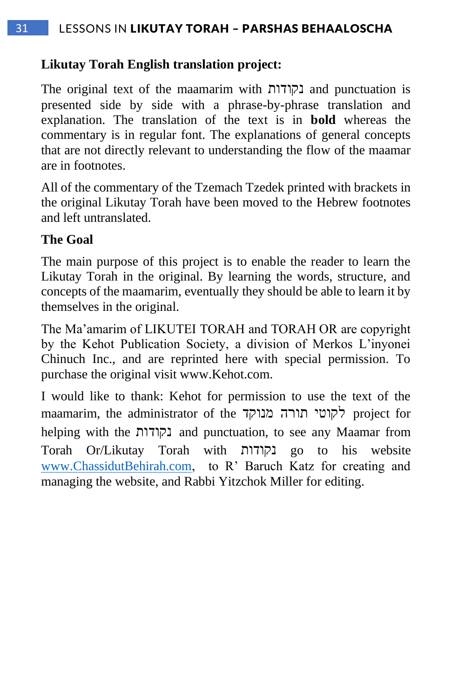#### **Likutay Torah English translation project:**

The original text of the maamarim with נקודות and punctuation is presented side by side with a phrase-by-phrase translation and explanation. The translation of the text is in **bold** whereas the commentary is in regular font. The explanations of general concepts that are not directly relevant to understanding the flow of the maamar are in footnotes.

All of the commentary of the Tzemach Tzedek printed with brackets in the original Likutay Torah have been moved to the Hebrew footnotes and left untranslated.

#### **The Goal**

The main purpose of this project is to enable the reader to learn the Likutay Torah in the original. By learning the words, structure, and concepts of the maamarim, eventually they should be able to learn it by themselves in the original.

The Ma'amarim of LIKUTEI TORAH and TORAH OR are copyright by the Kehot Publication Society, a division of Merkos L'inyonei Chinuch Inc., and are reprinted here with special permission. To purchase the original visit www.Kehot.com.

I would like to thank: Kehot for permission to use the text of the maamarim, the administrator of the מנוקד תורה לקוטי project for helping with the נקודות and punctuation, to see any Maamar from Torah Or/Likutay Torah with נקודות go to his website [www.ChassidutBehirah.com,](http://www.chassidutbehirah.com/) to R' Baruch Katz for creating and managing the website, and Rabbi Yitzchok Miller for editing.